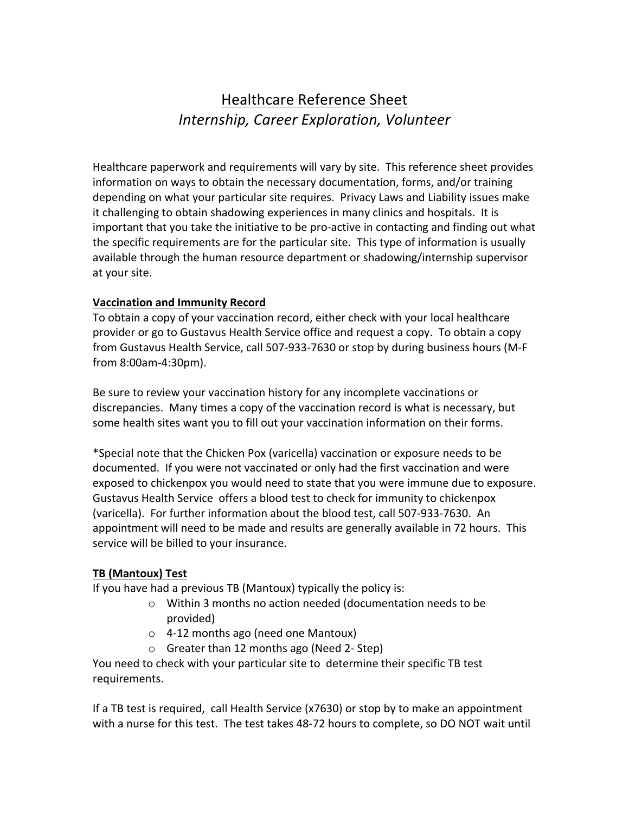# Healthcare Reference Sheet *Internship, Career Exploration, Volunteer*

Healthcare paperwork and requirements will vary by site. This reference sheet provides information on ways to obtain the necessary documentation, forms, and/or training depending on what your particular site requires. Privacy Laws and Liability issues make it challenging to obtain shadowing experiences in many clinics and hospitals. It is important that you take the initiative to be pro-active in contacting and finding out what the specific requirements are for the particular site. This type of information is usually available through the human resource department or shadowing/internship supervisor at your site.

# **Vaccination and Immunity Record**

To obtain a copy of your vaccination record, either check with your local healthcare provider or go to Gustavus Health Service office and request a copy. To obtain a copy from Gustavus Health Service, call 507-933-7630 or stop by during business hours (M-F from 8:00am-4:30pm).

Be sure to review your vaccination history for any incomplete vaccinations or discrepancies. Many times a copy of the vaccination record is what is necessary, but some health sites want you to fill out your vaccination information on their forms.

\*Special note that the Chicken Pox (varicella) vaccination or exposure needs to be documented. If you were not vaccinated or only had the first vaccination and were exposed to chickenpox you would need to state that you were immune due to exposure. Gustavus Health Service offers a blood test to check for immunity to chickenpox (varicella). For further information about the blood test, call 507-933-7630. An appointment will need to be made and results are generally available in 72 hours. This service will be billed to your insurance.

# **TB (Mantoux) Test**

If you have had a previous TB (Mantoux) typically the policy is:

- o Within 3 months no action needed (documentation needs to be provided)
- $\circ$  4-12 months ago (need one Mantoux)
- $\circ$  Greater than 12 months ago (Need 2- Step)

You need to check with your particular site to determine their specific TB test requirements.

If a TB test is required, call Health Service ( $x7630$ ) or stop by to make an appointment with a nurse for this test. The test takes 48-72 hours to complete, so DO NOT wait until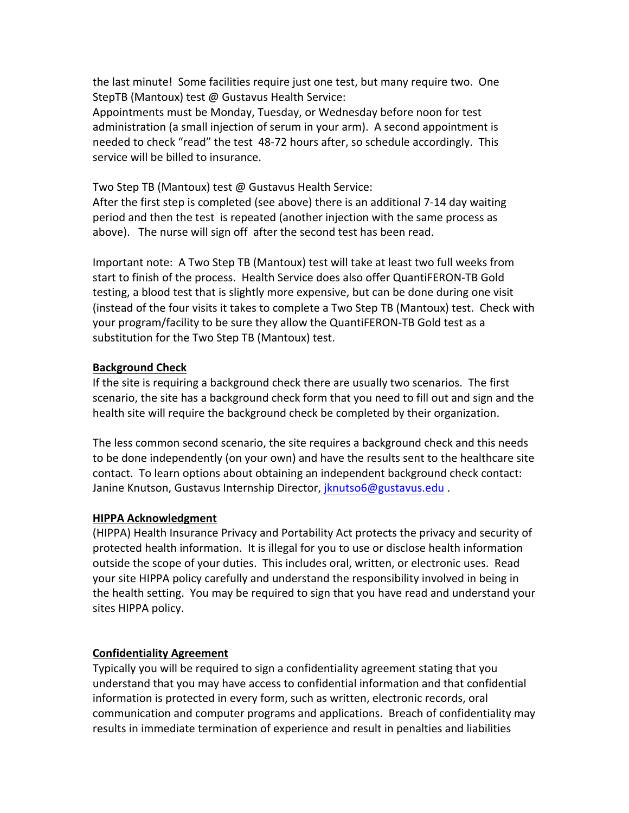the last minute! Some facilities require just one test, but many require two. One StepTB (Mantoux) test @ Gustavus Health Service:

Appointments must be Monday, Tuesday, or Wednesday before noon for test administration (a small injection of serum in your arm). A second appointment is needed to check "read" the test 48-72 hours after, so schedule accordingly. This service will be billed to insurance.

Two Step TB (Mantoux) test @ Gustavus Health Service:

After the first step is completed (see above) there is an additional  $7-14$  day waiting period and then the test is repeated (another injection with the same process as above). The nurse will sign off after the second test has been read.

Important note: A Two Step TB (Mantoux) test will take at least two full weeks from start to finish of the process. Health Service does also offer QuantiFERON-TB Gold testing, a blood test that is slightly more expensive, but can be done during one visit (instead of the four visits it takes to complete a Two Step TB (Mantoux) test. Check with your program/facility to be sure they allow the QuantiFERON-TB Gold test as a substitution for the Two Step TB (Mantoux) test.

#### **Background Check**

If the site is requiring a background check there are usually two scenarios. The first scenario, the site has a background check form that you need to fill out and sign and the health site will require the background check be completed by their organization.

The less common second scenario, the site requires a background check and this needs to be done independently (on your own) and have the results sent to the healthcare site contact. To learn options about obtaining an independent background check contact: Janine Knutson, Gustavus Internship Director, *jknutso6@gustavus.edu* .

#### **HIPPA Acknowledgment**

(HIPPA) Health Insurance Privacy and Portability Act protects the privacy and security of protected health information. It is illegal for you to use or disclose health information outside the scope of your duties. This includes oral, written, or electronic uses. Read your site HIPPA policy carefully and understand the responsibility involved in being in the health setting. You may be required to sign that you have read and understand your sites HIPPA policy.

## **Confidentiality Agreement**

Typically you will be required to sign a confidentiality agreement stating that you understand that you may have access to confidential information and that confidential information is protected in every form, such as written, electronic records, oral communication and computer programs and applications. Breach of confidentiality may results in immediate termination of experience and result in penalties and liabilities